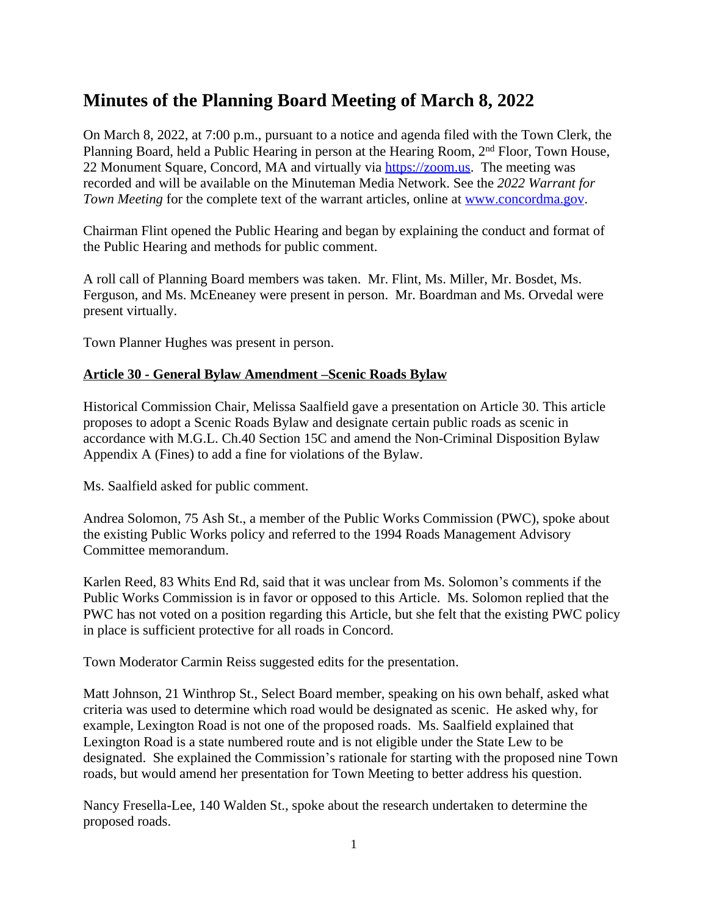# **Minutes of the Planning Board Meeting of March 8, 2022**

On March 8, 2022, at 7:00 p.m., pursuant to a notice and agenda filed with the Town Clerk, the Planning Board, held a Public Hearing in person at the Hearing Room, 2nd Floor, Town House, 22 Monument Square, Concord, MA and virtually via [https://zoom.us.](https://zoom.us) The meeting was recorded and will be available on the Minuteman Media Network. See the *2022 Warrant for Town Meeting* for the complete text of the warrant articles, online at [www.concordma.gov.](http://www.concordma.gov)

Chairman Flint opened the Public Hearing and began by explaining the conduct and format of the Public Hearing and methods for public comment.

A roll call of Planning Board members was taken. Mr. Flint, Ms. Miller, Mr. Bosdet, Ms. Ferguson, and Ms. McEneaney were present in person. Mr. Boardman and Ms. Orvedal were present virtually.

Town Planner Hughes was present in person.

### **Article 30 - General Bylaw Amendment –Scenic Roads Bylaw**

Historical Commission Chair, Melissa Saalfield gave a presentation on Article 30. This article proposes to adopt a Scenic Roads Bylaw and designate certain public roads as scenic in accordance with M.G.L. Ch.40 Section 15C and amend the Non-Criminal Disposition Bylaw Appendix A (Fines) to add a fine for violations of the Bylaw.

Ms. Saalfield asked for public comment.

Andrea Solomon, 75 Ash St., a member of the Public Works Commission (PWC), spoke about the existing Public Works policy and referred to the 1994 Roads Management Advisory Committee memorandum.

Karlen Reed, 83 Whits End Rd, said that it was unclear from Ms. Solomon's comments if the Public Works Commission is in favor or opposed to this Article. Ms. Solomon replied that the PWC has not voted on a position regarding this Article, but she felt that the existing PWC policy in place is sufficient protective for all roads in Concord.

Town Moderator Carmin Reiss suggested edits for the presentation.

Matt Johnson, 21 Winthrop St., Select Board member, speaking on his own behalf, asked what criteria was used to determine which road would be designated as scenic. He asked why, for example, Lexington Road is not one of the proposed roads. Ms. Saalfield explained that Lexington Road is a state numbered route and is not eligible under the State Lew to be designated. She explained the Commission's rationale for starting with the proposed nine Town roads, but would amend her presentation for Town Meeting to better address his question.

Nancy Fresella-Lee, 140 Walden St., spoke about the research undertaken to determine the proposed roads.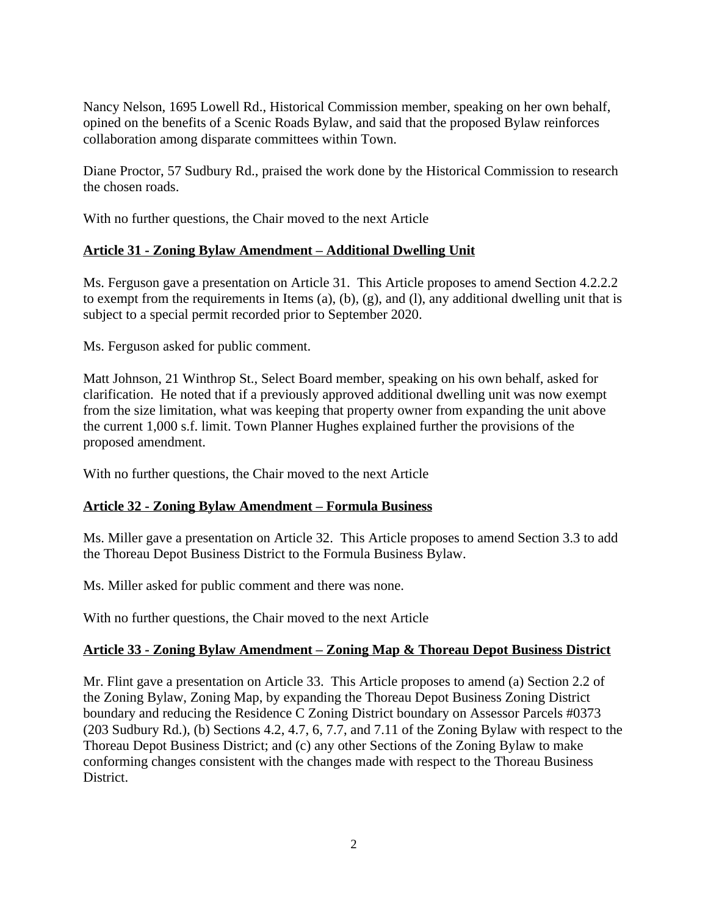Nancy Nelson, 1695 Lowell Rd., Historical Commission member, speaking on her own behalf, opined on the benefits of a Scenic Roads Bylaw, and said that the proposed Bylaw reinforces collaboration among disparate committees within Town.

Diane Proctor, 57 Sudbury Rd., praised the work done by the Historical Commission to research the chosen roads.

With no further questions, the Chair moved to the next Article

## **Article 31 - Zoning Bylaw Amendment – Additional Dwelling Unit**

Ms. Ferguson gave a presentation on Article 31. This Article proposes to amend Section 4.2.2.2 to exempt from the requirements in Items (a), (b), (g), and (l), any additional dwelling unit that is subject to a special permit recorded prior to September 2020.

Ms. Ferguson asked for public comment.

Matt Johnson, 21 Winthrop St., Select Board member, speaking on his own behalf, asked for clarification. He noted that if a previously approved additional dwelling unit was now exempt from the size limitation, what was keeping that property owner from expanding the unit above the current 1,000 s.f. limit. Town Planner Hughes explained further the provisions of the proposed amendment.

With no further questions, the Chair moved to the next Article

#### **Article 32 - Zoning Bylaw Amendment – Formula Business**

Ms. Miller gave a presentation on Article 32. This Article proposes to amend Section 3.3 to add the Thoreau Depot Business District to the Formula Business Bylaw.

Ms. Miller asked for public comment and there was none.

With no further questions, the Chair moved to the next Article

## **Article 33 - Zoning Bylaw Amendment – Zoning Map & Thoreau Depot Business District**

Mr. Flint gave a presentation on Article 33. This Article proposes to amend (a) Section 2.2 of the Zoning Bylaw, Zoning Map, by expanding the Thoreau Depot Business Zoning District boundary and reducing the Residence C Zoning District boundary on Assessor Parcels #0373 (203 Sudbury Rd.), (b) Sections 4.2, 4.7, 6, 7.7, and 7.11 of the Zoning Bylaw with respect to the Thoreau Depot Business District; and (c) any other Sections of the Zoning Bylaw to make conforming changes consistent with the changes made with respect to the Thoreau Business District.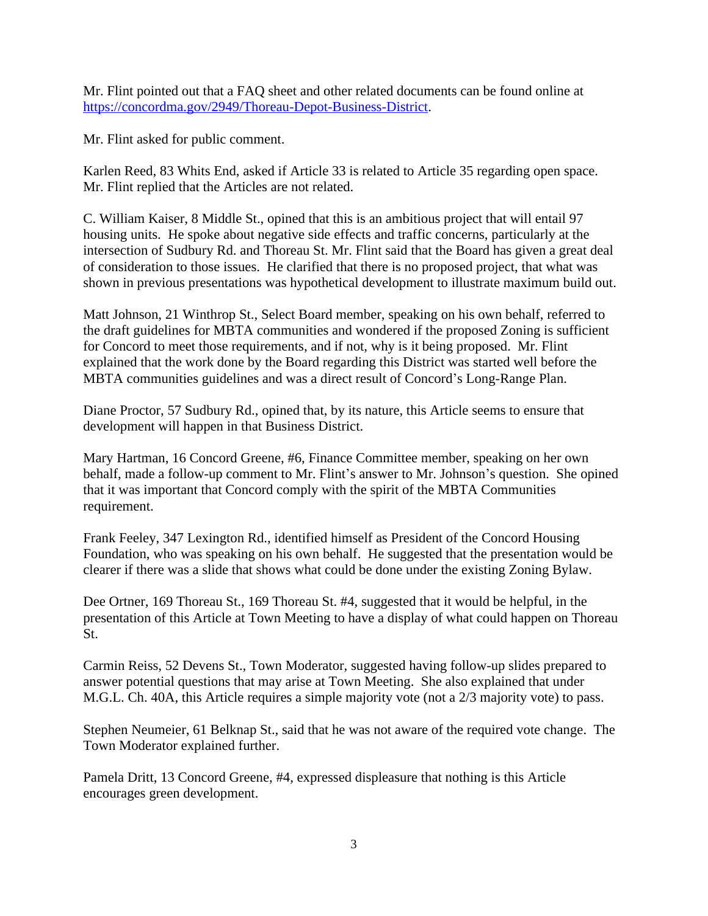Mr. Flint pointed out that a FAQ sheet and other related documents can be found online at <https://concordma.gov/2949/Thoreau-Depot-Business-District>.

Mr. Flint asked for public comment.

Karlen Reed, 83 Whits End, asked if Article 33 is related to Article 35 regarding open space. Mr. Flint replied that the Articles are not related.

C. William Kaiser, 8 Middle St., opined that this is an ambitious project that will entail 97 housing units. He spoke about negative side effects and traffic concerns, particularly at the intersection of Sudbury Rd. and Thoreau St. Mr. Flint said that the Board has given a great deal of consideration to those issues. He clarified that there is no proposed project, that what was shown in previous presentations was hypothetical development to illustrate maximum build out.

Matt Johnson, 21 Winthrop St., Select Board member, speaking on his own behalf, referred to the draft guidelines for MBTA communities and wondered if the proposed Zoning is sufficient for Concord to meet those requirements, and if not, why is it being proposed. Mr. Flint explained that the work done by the Board regarding this District was started well before the MBTA communities guidelines and was a direct result of Concord's Long-Range Plan.

Diane Proctor, 57 Sudbury Rd., opined that, by its nature, this Article seems to ensure that development will happen in that Business District.

Mary Hartman, 16 Concord Greene, #6, Finance Committee member, speaking on her own behalf, made a follow-up comment to Mr. Flint's answer to Mr. Johnson's question. She opined that it was important that Concord comply with the spirit of the MBTA Communities requirement.

Frank Feeley, 347 Lexington Rd., identified himself as President of the Concord Housing Foundation, who was speaking on his own behalf. He suggested that the presentation would be clearer if there was a slide that shows what could be done under the existing Zoning Bylaw.

Dee Ortner, 169 Thoreau St., 169 Thoreau St. #4, suggested that it would be helpful, in the presentation of this Article at Town Meeting to have a display of what could happen on Thoreau St.

Carmin Reiss, 52 Devens St., Town Moderator, suggested having follow-up slides prepared to answer potential questions that may arise at Town Meeting. She also explained that under M.G.L. Ch. 40A, this Article requires a simple majority vote (not a 2/3 majority vote) to pass.

Stephen Neumeier, 61 Belknap St., said that he was not aware of the required vote change. The Town Moderator explained further.

Pamela Dritt, 13 Concord Greene, #4, expressed displeasure that nothing is this Article encourages green development.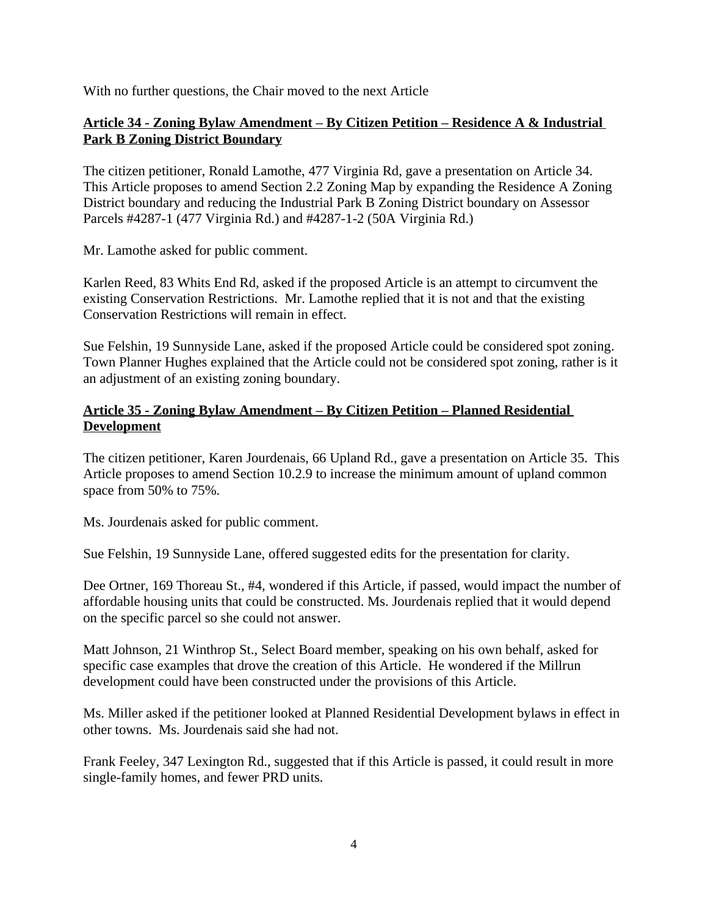With no further questions, the Chair moved to the next Article

## **Article 34 - Zoning Bylaw Amendment – By Citizen Petition – Residence A & Industrial Park B Zoning District Boundary**

The citizen petitioner, Ronald Lamothe, 477 Virginia Rd, gave a presentation on Article 34. This Article proposes to amend Section 2.2 Zoning Map by expanding the Residence A Zoning District boundary and reducing the Industrial Park B Zoning District boundary on Assessor Parcels #4287-1 (477 Virginia Rd.) and #4287-1-2 (50A Virginia Rd.)

Mr. Lamothe asked for public comment.

Karlen Reed, 83 Whits End Rd, asked if the proposed Article is an attempt to circumvent the existing Conservation Restrictions. Mr. Lamothe replied that it is not and that the existing Conservation Restrictions will remain in effect.

Sue Felshin, 19 Sunnyside Lane, asked if the proposed Article could be considered spot zoning. Town Planner Hughes explained that the Article could not be considered spot zoning, rather is it an adjustment of an existing zoning boundary.

## **Article 35 - Zoning Bylaw Amendment – By Citizen Petition – Planned Residential Development**

The citizen petitioner, Karen Jourdenais, 66 Upland Rd., gave a presentation on Article 35. This Article proposes to amend Section 10.2.9 to increase the minimum amount of upland common space from 50% to 75%.

Ms. Jourdenais asked for public comment.

Sue Felshin, 19 Sunnyside Lane, offered suggested edits for the presentation for clarity.

Dee Ortner, 169 Thoreau St., #4, wondered if this Article, if passed, would impact the number of affordable housing units that could be constructed. Ms. Jourdenais replied that it would depend on the specific parcel so she could not answer.

Matt Johnson, 21 Winthrop St., Select Board member, speaking on his own behalf, asked for specific case examples that drove the creation of this Article. He wondered if the Millrun development could have been constructed under the provisions of this Article.

Ms. Miller asked if the petitioner looked at Planned Residential Development bylaws in effect in other towns. Ms. Jourdenais said she had not.

Frank Feeley, 347 Lexington Rd., suggested that if this Article is passed, it could result in more single-family homes, and fewer PRD units.